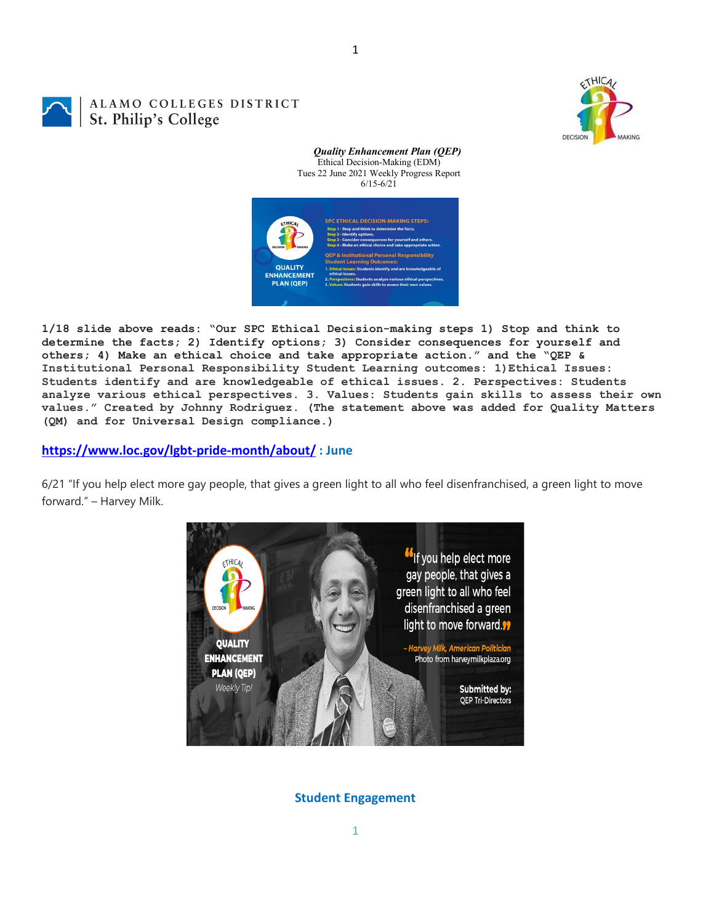1

## ALAMO COLLEGES DISTRICT St. Philip's College



*Quality Enhancement Plan (QEP)* Ethical Decision-Making (EDM) Tues 22 June 2021 Weekly Progress Report 6/15-6/21



**1/18 slide above reads: "Our SPC Ethical Decision-making steps 1) Stop and think to determine the facts; 2) Identify options; 3) Consider consequences for yourself and others; 4) Make an ethical choice and take appropriate action." and the "QEP & Institutional Personal Responsibility Student Learning outcomes: 1)Ethical Issues: Students identify and are knowledgeable of ethical issues. 2. Perspectives: Students analyze various ethical perspectives. 3. Values: Students gain skills to assess their own values." Created by Johnny Rodriguez. (The statement above was added for Quality Matters (QM) and for Universal Design compliance.)**

## **<https://www.loc.gov/lgbt-pride-month/about/> : June**

6/21 "If you help elect more gay people, that gives a green light to all who feel disenfranchised, a green light to move forward." – Harvey Milk.



## **Student Engagement**